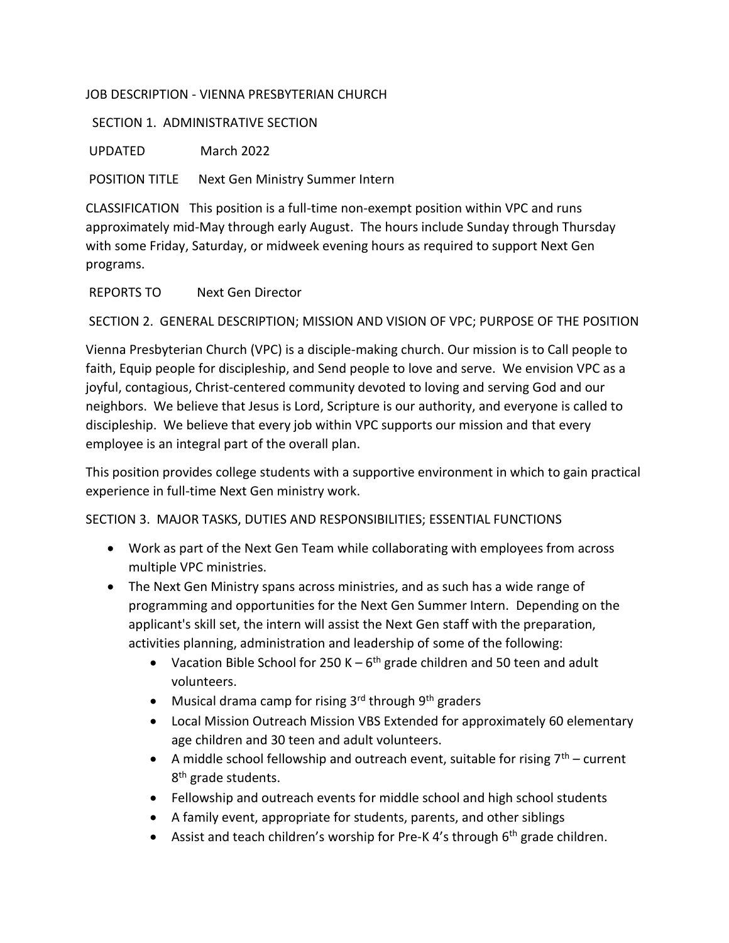## JOB DESCRIPTION - VIENNA PRESBYTERIAN CHURCH

## SECTION 1. ADMINISTRATIVE SECTION

UPDATED March 2022

POSITION TITLE Next Gen Ministry Summer Intern

CLASSIFICATION This position is a full-time non-exempt position within VPC and runs approximately mid-May through early August. The hours include Sunday through Thursday with some Friday, Saturday, or midweek evening hours as required to support Next Gen programs.

REPORTS TO Next Gen Director

SECTION 2. GENERAL DESCRIPTION; MISSION AND VISION OF VPC; PURPOSE OF THE POSITION

Vienna Presbyterian Church (VPC) is a disciple-making church. Our mission is to Call people to faith, Equip people for discipleship, and Send people to love and serve. We envision VPC as a joyful, contagious, Christ-centered community devoted to loving and serving God and our neighbors. We believe that Jesus is Lord, Scripture is our authority, and everyone is called to discipleship. We believe that every job within VPC supports our mission and that every employee is an integral part of the overall plan.

This position provides college students with a supportive environment in which to gain practical experience in full-time Next Gen ministry work.

SECTION 3. MAJOR TASKS, DUTIES AND RESPONSIBILITIES; ESSENTIAL FUNCTIONS

- Work as part of the Next Gen Team while collaborating with employees from across multiple VPC ministries.
- The Next Gen Ministry spans across ministries, and as such has a wide range of programming and opportunities for the Next Gen Summer Intern. Depending on the applicant's skill set, the intern will assist the Next Gen staff with the preparation, activities planning, administration and leadership of some of the following:
	- Vacation Bible School for 250 K  $-6$ <sup>th</sup> grade children and 50 teen and adult volunteers.
	- Musical drama camp for rising  $3^{rd}$  through  $9^{th}$  graders
	- Local Mission Outreach Mission VBS Extended for approximately 60 elementary age children and 30 teen and adult volunteers.
	- A middle school fellowship and outreach event, suitable for rising  $7<sup>th</sup>$  current 8<sup>th</sup> grade students.
	- Fellowship and outreach events for middle school and high school students
	- A family event, appropriate for students, parents, and other siblings
	- **•** Assist and teach children's worship for Pre-K 4's through  $6<sup>th</sup>$  grade children.